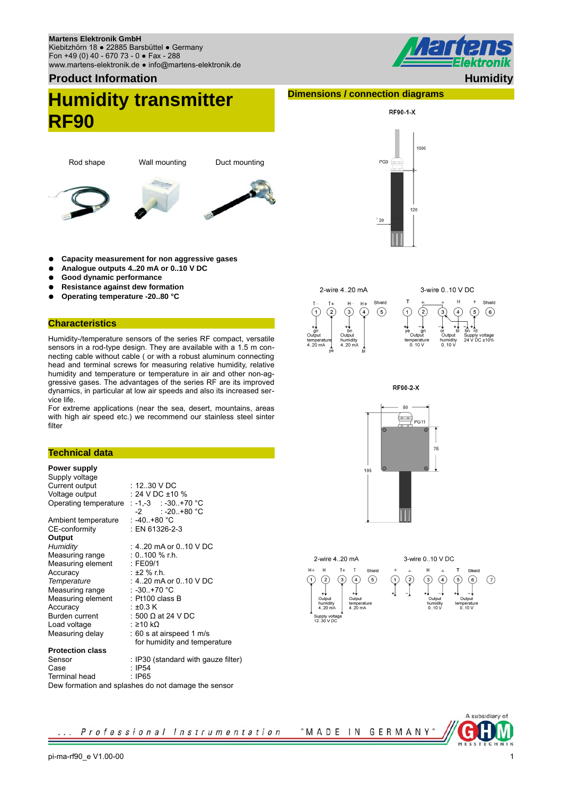#### **Martens Elektronik GmbH** Kiebitzhörn 18 ● 22885 Barsbüttel ● Germany

Fon +49 (0) 40 - 670 73 - 0 ● Fax - 288 www.martens-elektronik.de ● info@martens-elektronik.de

# **Product Information Automation Automatic Services (New York Services Automatic Services Automatic Services Automatic Services Automatic Services Automatic Services Automatic Services Automatic Services Automatic Services**

# **Humidity transmitter RF90**

Rod shape Wall mounting Duct mounting







- **Capacity measurement for non aggressive gases**
- **Analogue outputs 4..20 mA or 0..10 V DC**
- **Good dynamic performance**
- **Resistance against dew formation**
- **Operating temperature -20..80 °C**

### **Characteristics**

Humidity-/temperature sensors of the series RF compact, versatile sensors in a rod-type design. They are available with a 1.5 m connecting cable without cable ( or with a robust aluminum connecting head and terminal screws for measuring relative humidity, relative humidity and temperature or temperature in air and other non-aggressive gases. The advantages of the series RF are its improved dynamics, in particular at low air speeds and also its increased service life.

For extreme applications (near the sea, desert, mountains, areas with high air speed etc.) we recommend our stainless steel sinter filter

# **Technical data**

# **Power supply**

| www.ouppiy                                          |                                     |  |  |  |
|-----------------------------------------------------|-------------------------------------|--|--|--|
| Supply voltage                                      |                                     |  |  |  |
| Current output                                      | $: 1230$ V DC                       |  |  |  |
| Voltage output                                      | : 24 V DC ±10 %                     |  |  |  |
| Operating temperature : -1,-3 : -30+70 °C           |                                     |  |  |  |
|                                                     | $-2$ : $-20.+80$ °C                 |  |  |  |
| Ambient temperature                                 | :-40+80 °C                          |  |  |  |
| CE-conformity                                       | : EN 61326-2-3                      |  |  |  |
| Output                                              |                                     |  |  |  |
| Humidity                                            | : 420 mA or 010 V DC                |  |  |  |
| Measuring range                                     | $: 0.100 \%$ r.h.                   |  |  |  |
| Measuring element : FE09/1                          |                                     |  |  |  |
| Accuracy                                            | $\pm 2 \%$ r.h.                     |  |  |  |
| Temperature                                         | $: 4.20 \text{ mA}$ or 010 V DC     |  |  |  |
| Measuring range                                     | ∴ -30+70 °C                         |  |  |  |
| Measuring element                                   | $:$ Pt100 class B                   |  |  |  |
| Accuracy                                            | $\pm 0.3$ K                         |  |  |  |
| Burden current : 500 Ω at 24 V DC                   |                                     |  |  |  |
| Load voltage                                        | : ≥10 kΩ                            |  |  |  |
| Measuring delay                                     | : 60 s at airspeed 1 m/s            |  |  |  |
|                                                     | for humidity and temperature        |  |  |  |
| <b>Protection class</b>                             |                                     |  |  |  |
| Sensor                                              | : IP30 (standard with gauze filter) |  |  |  |
| Case                                                | $:$ IP54                            |  |  |  |
| Terminal head                                       | $\cdot$ IP65                        |  |  |  |
| Dew formation and splashes do not damage the sensor |                                     |  |  |  |

Professional Instrumentation





RF90-2-X





GERMANY

 $H +$  $\overline{H}$ 

᠗

"MADE IN

**Dimensions / connection diagrams**





A subsidiary of